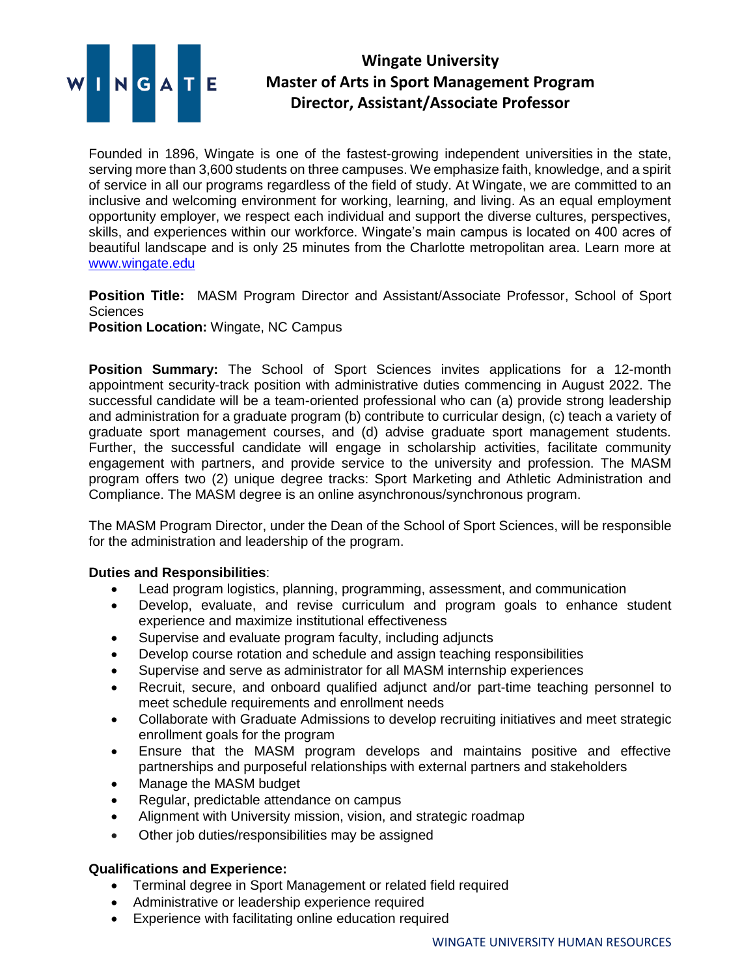

## **Wingate University Master of Arts in Sport Management Program Director, Assistant/Associate Professor**

Founded in 1896, Wingate is one of the fastest-growing independent universities in the state, serving more than 3,600 students on three campuses. We emphasize faith, knowledge, and a spirit of service in all our programs regardless of the field of study. At Wingate, we are committed to an inclusive and welcoming environment for working, learning, and living. As an equal employment opportunity employer, we respect each individual and support the diverse cultures, perspectives, skills, and experiences within our workforce. Wingate's main campus is located on 400 acres of beautiful landscape and is only 25 minutes from the Charlotte metropolitan area. Learn more at [www.wingate.edu](http://www.wingate/edu)

**Position Title:** MASM Program Director and Assistant/Associate Professor, School of Sport **Sciences** 

**Position Location:** Wingate, NC Campus

**Position Summary:** The School of Sport Sciences invites applications for a 12-month appointment security-track position with administrative duties commencing in August 2022. The successful candidate will be a team-oriented professional who can (a) provide strong leadership and administration for a graduate program (b) contribute to curricular design, (c) teach a variety of graduate sport management courses, and (d) advise graduate sport management students. Further, the successful candidate will engage in scholarship activities, facilitate community engagement with partners, and provide service to the university and profession. The MASM program offers two (2) unique degree tracks: Sport Marketing and Athletic Administration and Compliance. The MASM degree is an online asynchronous/synchronous program.

The MASM Program Director, under the Dean of the School of Sport Sciences, will be responsible for the administration and leadership of the program.

## **Duties and Responsibilities**:

- Lead program logistics, planning, programming, assessment, and communication
- Develop, evaluate, and revise curriculum and program goals to enhance student experience and maximize institutional effectiveness
- Supervise and evaluate program faculty, including adjuncts
- Develop course rotation and schedule and assign teaching responsibilities
- Supervise and serve as administrator for all MASM internship experiences
- Recruit, secure, and onboard qualified adjunct and/or part-time teaching personnel to meet schedule requirements and enrollment needs
- Collaborate with Graduate Admissions to develop recruiting initiatives and meet strategic enrollment goals for the program
- Ensure that the MASM program develops and maintains positive and effective partnerships and purposeful relationships with external partners and stakeholders
- Manage the MASM budget
- Regular, predictable attendance on campus
- Alignment with University mission, vision, and strategic roadmap
- Other job duties/responsibilities may be assigned

## **Qualifications and Experience:**

- Terminal degree in Sport Management or related field required
- Administrative or leadership experience required
- Experience with facilitating online education required